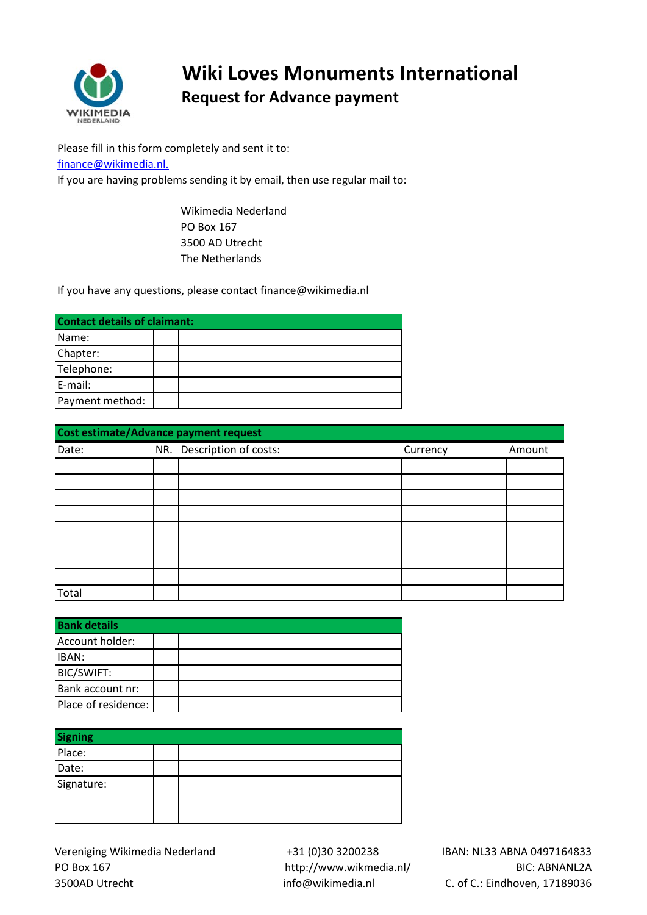

## **Wiki Loves Monuments International Request for Advance payment**

Please fill in this form completely and sent it to: [finance@wikimedia.nl.](mailto:finance@wikimedia.nl.) If you are having problems sending it by email, then use regular mail to:

> Wikimedia Nederland PO Box 167 3500 AD Utrecht The Netherlands

If you have any questions, please contact finance@wikimedia.nl

| <b>Contact details of claimant:</b> |  |  |  |  |
|-------------------------------------|--|--|--|--|
| Name:                               |  |  |  |  |
| Chapter:                            |  |  |  |  |
| Telephone:                          |  |  |  |  |
| E-mail:                             |  |  |  |  |
| Payment method:                     |  |  |  |  |

| Cost estimate/Advance payment request |  |                           |          |        |  |  |
|---------------------------------------|--|---------------------------|----------|--------|--|--|
| Date:                                 |  | NR. Description of costs: | Currency | Amount |  |  |
|                                       |  |                           |          |        |  |  |
|                                       |  |                           |          |        |  |  |
|                                       |  |                           |          |        |  |  |
|                                       |  |                           |          |        |  |  |
|                                       |  |                           |          |        |  |  |
|                                       |  |                           |          |        |  |  |
|                                       |  |                           |          |        |  |  |
|                                       |  |                           |          |        |  |  |
| Total                                 |  |                           |          |        |  |  |

| <b>Bank details</b> |  |  |  |
|---------------------|--|--|--|
| Account holder:     |  |  |  |
| IBAN:               |  |  |  |
| <b>BIC/SWIFT:</b>   |  |  |  |
| Bank account nr:    |  |  |  |
| Place of residence: |  |  |  |

| <b>Signing</b> |  |  |  |
|----------------|--|--|--|
| Place:         |  |  |  |
| Date:          |  |  |  |
| Signature:     |  |  |  |

Vereniging Wikimedia Nederland PO Box 167 3500AD Utrecht

 +31 (0)30 3200238 http://www.wikmedia.nl/ info@wikimedia.nl

IBAN: NL33 ABNA 0497164833 BIC: ABNANL2A C. of C.: Eindhoven, 17189036